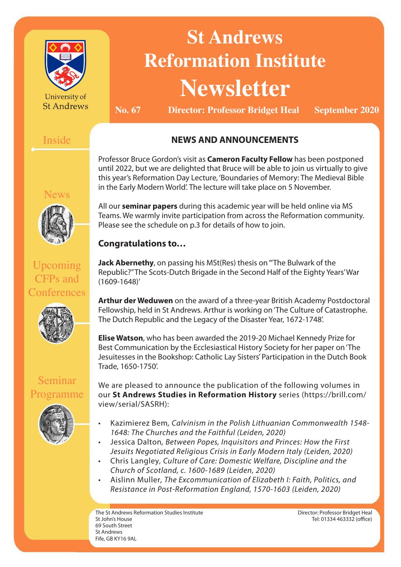

University of **St Andrews** 

# **St Andrews Reformation Institute Newsletter**

**No. 67 Director: Professor Bridget Heal September 2020**

# Inside

# **NEWS AND ANNOUNCEMENTS**

Professor Bruce Gordon's visit as **Cameron Faculty Fellow** has been postponed until 2022, but we are delighted that Bruce will be able to join us virtually to give this year's Reformation Day Lecture, 'Boundaries of Memory: The Medieval Bible in the Early Modern World'. The lecture will take place on 5 November.

lews

# Upcoming CFPs and **Conferences**



Seminar

Programme

**Congratulations to…**

All our **seminar papers** during this academic year will be held online via MS Teams. We warmly invite participation from across the Reformation community.

Please see the schedule on p.3 for details of how to join.

**Jack Abernethy**, on passing his MSt(Res) thesis on '"The Bulwark of the Republic?" The Scots-Dutch Brigade in the Second Half of the Eighty Years' War (1609-1648)'

**Arthur der Weduwen** on the award of a three-year British Academy Postdoctoral Fellowship, held in St Andrews. Arthur is working on 'The Culture of Catastrophe. The Dutch Republic and the Legacy of the Disaster Year, 1672-1748'.

**Elise Watson**, who has been awarded the 2019-20 Michael Kennedy Prize for Best Communication by the Ecclesiastical History Society for her paper on 'The Jesuitesses in the Bookshop: Catholic Lay Sisters' Participation in the Dutch Book Trade, 1650-1750'.

We are pleased to announce the publication of the following volumes in our **St Andrews Studies in Reformation History** series (https://brill.com/ view/serial/SASRH):

- Kazimierez Bem*, Calvinism in the Polish Lithuanian Commonwealth 1548- 1648: The Churches and the Faithful (Leiden, 2020)*
- Jessica Dalton*, Between Popes, Inquisitors and Princes: How the First Jesuits Negotiated Religious Crisis in Early Modern Italy (Leiden, 2020)*
- Chris Langley*, Culture of Care: Domestic Welfare, Discipline and the Church of Scotland, c. 1600-1689 (Leiden, 2020)*
- Aislinn Muller*, The Excommunication of Elizabeth I: Faith, Politics, and Resistance in Post-Reformation England, 1570-1603 (Leiden, 2020)*

The St Andrews Reformation Studies Institute St John's House 69 South Street St Andrews Fife, GB KY16 9AL

Director: Professor Bridget Heal Tel: 01334 463332 (office)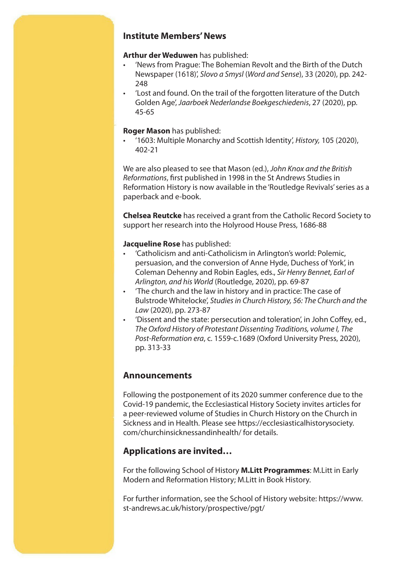#### **Institute Members' News**

#### **Arthur der Weduwen** has published:

- 'News from Prague: The Bohemian Revolt and the Birth of the Dutch Newspaper (1618)', *Slovo a Smysl* (*Word and Sense*), 33 (2020), pp. 242- 248
- 'Lost and found. On the trail of the forgotten literature of the Dutch Golden Age', *Jaarboek Nederlandse Boekgeschiedenis*, 27 (2020), pp. 45-65

#### **Roger Mason** has published:

• '1603: Multiple Monarchy and Scottish Identity', *History,* 105 (2020), 402-21

We are also pleased to see that Mason (ed.), *John Knox and the British Reformations*, first published in 1998 in the St Andrews Studies in Reformation History is now available in the 'Routledge Revivals' series as a paperback and e-book.

**Chelsea Reutcke** has received a grant from the Catholic Record Society to support her research into the Holyrood House Press, 1686-88

#### **Jacqueline Rose** has published:

- 'Catholicism and anti-Catholicism in Arlington's world: Polemic, persuasion, and the conversion of Anne Hyde, Duchess of York', in Coleman Dehenny and Robin Eagles, eds., *Sir Henry Bennet, Earl of Arlington, and his World* (Routledge, 2020), pp. 69-87
- 'The church and the law in history and in practice: The case of Bulstrode Whitelocke', *Studies in Church History, 56: The Church and the Law* (2020), pp. 273-87
- 'Dissent and the state: persecution and toleration', in John Coffey, ed., *The Oxford History of Protestant Dissenting Traditions, volume I, The Post-Reformation era*, c. 1559-c.1689 (Oxford University Press, 2020), pp. 313-33

#### **Announcements**

Following the postponement of its 2020 summer conference due to the Covid-19 pandemic, the Ecclesiastical History Society invites articles for a peer-reviewed volume of Studies in Church History on the Church in Sickness and in Health. Please see https://ecclesiasticalhistorysociety. com/churchinsicknessandinhealth/ for details.

## **Applications are invited…**

For the following School of History **M.Litt Programmes**: M.Litt in Early Modern and Reformation History; M.Litt in Book History.

For further information, see the School of History website: https://www. st-andrews.ac.uk/history/prospective/pgt/